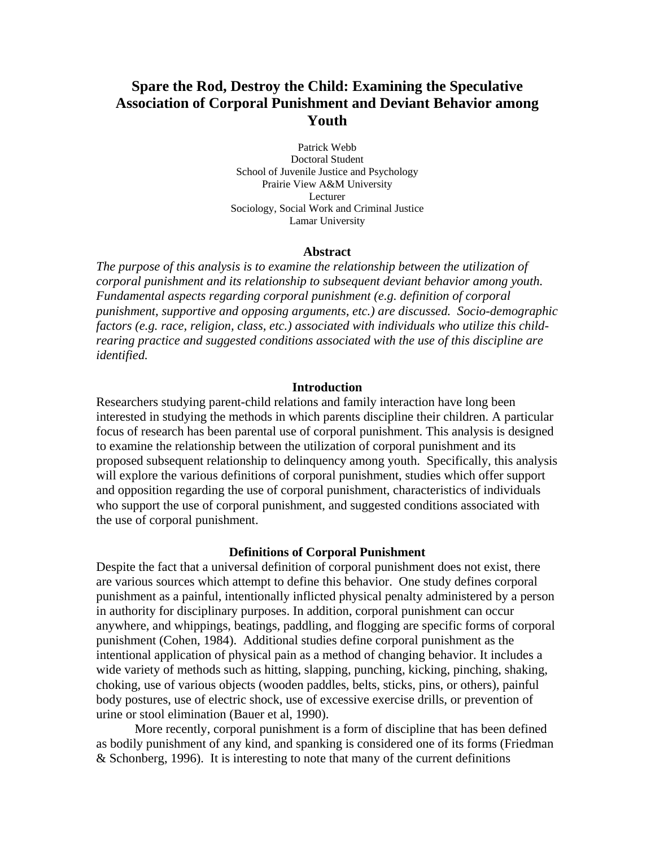# **Spare the Rod, Destroy the Child: Examining the Speculative Association of Corporal Punishment and Deviant Behavior among Youth**

Patrick Webb Doctoral Student School of Juvenile Justice and Psychology Prairie View A&M University Lecturer Sociology, Social Work and Criminal Justice Lamar University

#### **Abstract**

*The purpose of this analysis is to examine the relationship between the utilization of corporal punishment and its relationship to subsequent deviant behavior among youth. Fundamental aspects regarding corporal punishment (e.g. definition of corporal punishment, supportive and opposing arguments, etc.) are discussed. Socio-demographic factors (e.g. race, religion, class, etc.) associated with individuals who utilize this childrearing practice and suggested conditions associated with the use of this discipline are identified.* 

# **Introduction**

Researchers studying parent-child relations and family interaction have long been interested in studying the methods in which parents discipline their children. A particular focus of research has been parental use of corporal punishment. This analysis is designed to examine the relationship between the utilization of corporal punishment and its proposed subsequent relationship to delinquency among youth. Specifically, this analysis will explore the various definitions of corporal punishment, studies which offer support and opposition regarding the use of corporal punishment, characteristics of individuals who support the use of corporal punishment, and suggested conditions associated with the use of corporal punishment.

#### **Definitions of Corporal Punishment**

Despite the fact that a universal definition of corporal punishment does not exist, there are various sources which attempt to define this behavior. One study defines corporal punishment as a painful, intentionally inflicted physical penalty administered by a person in authority for disciplinary purposes. In addition, corporal punishment can occur anywhere, and whippings, beatings, paddling, and flogging are specific forms of corporal punishment (Cohen, 1984). Additional studies define corporal punishment as the intentional application of physical pain as a method of changing behavior. It includes a wide variety of methods such as hitting, slapping, punching, kicking, pinching, shaking, choking, use of various objects (wooden paddles, belts, sticks, pins, or others), painful body postures, use of electric shock, use of excessive exercise drills, or prevention of urine or stool elimination (Bauer et al, 1990).

More recently, corporal punishment is a form of discipline that has been defined as bodily punishment of any kind, and spanking is considered one of its forms (Friedman & Schonberg, 1996). It is interesting to note that many of the current definitions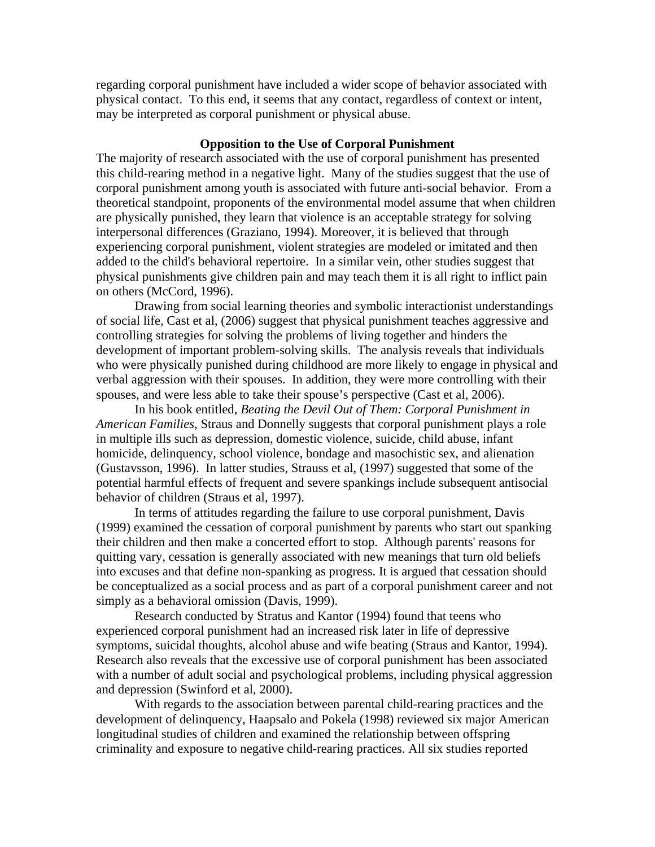regarding corporal punishment have included a wider scope of behavior associated with physical contact. To this end, it seems that any contact, regardless of context or intent, may be interpreted as corporal punishment or physical abuse.

# **Opposition to the Use of Corporal Punishment**

The majority of research associated with the use of corporal punishment has presented this child-rearing method in a negative light. Many of the studies suggest that the use of corporal punishment among youth is associated with future anti-social behavior. From a theoretical standpoint, proponents of the environmental model assume that when children are physically punished, they learn that violence is an acceptable strategy for solving interpersonal differences (Graziano, 1994). Moreover, it is believed that through experiencing corporal punishment, violent strategies are modeled or imitated and then added to the child's behavioral repertoire. In a similar vein, other studies suggest that physical punishments give children pain and may teach them it is all right to inflict pain on others (McCord, 1996).

Drawing from social learning theories and symbolic interactionist understandings of social life, Cast et al, (2006) suggest that physical punishment teaches aggressive and controlling strategies for solving the problems of living together and hinders the development of important problem-solving skills. The analysis reveals that individuals who were physically punished during childhood are more likely to engage in physical and verbal aggression with their spouses. In addition, they were more controlling with their spouses, and were less able to take their spouse's perspective (Cast et al, 2006).

 In his book entitled, *Beating the Devil Out of Them: Corporal Punishment in American Families*, Straus and Donnelly suggests that corporal punishment plays a role in multiple ills such as depression, domestic violence, suicide, child abuse, infant homicide, delinquency, school violence, bondage and masochistic sex, and alienation (Gustavsson, 1996). In latter studies, Strauss et al, (1997) suggested that some of the potential harmful effects of frequent and severe spankings include subsequent antisocial behavior of children (Straus et al, 1997).

 In terms of attitudes regarding the failure to use corporal punishment, Davis (1999) examined the cessation of corporal punishment by parents who start out spanking their children and then make a concerted effort to stop. Although parents' reasons for quitting vary, cessation is generally associated with new meanings that turn old beliefs into excuses and that define non-spanking as progress. It is argued that cessation should be conceptualized as a social process and as part of a corporal punishment career and not simply as a behavioral omission (Davis, 1999).

Research conducted by Stratus and Kantor (1994) found that teens who experienced corporal punishment had an increased risk later in life of depressive symptoms, suicidal thoughts, alcohol abuse and wife beating (Straus and Kantor, 1994). Research also reveals that the excessive use of corporal punishment has been associated with a number of adult social and psychological problems, including physical aggression and depression (Swinford et al, 2000).

With regards to the association between parental child-rearing practices and the development of delinquency, Haapsalo and Pokela (1998) reviewed six major American longitudinal studies of children and examined the relationship between offspring criminality and exposure to negative child-rearing practices. All six studies reported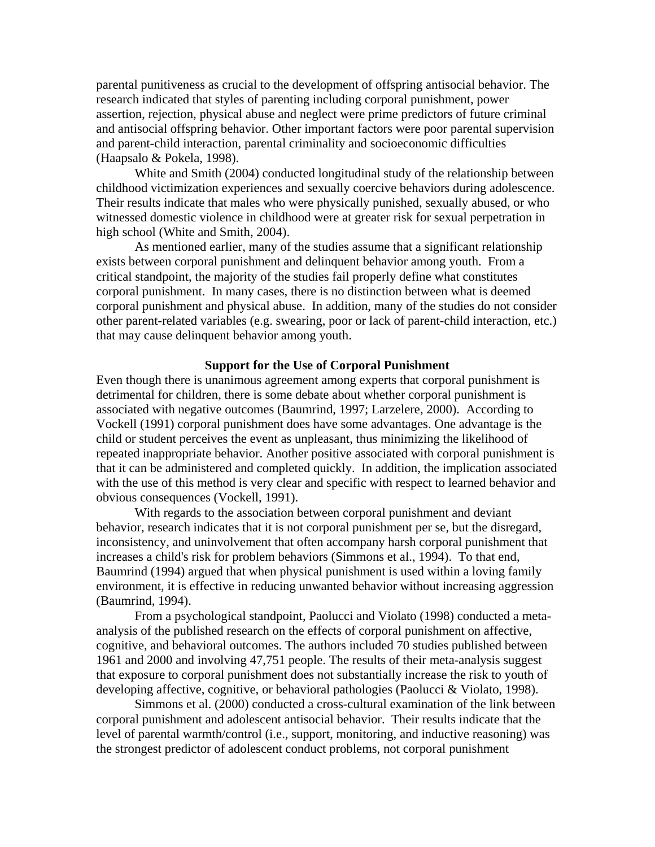parental punitiveness as crucial to the development of offspring antisocial behavior. The research indicated that styles of parenting including corporal punishment, power assertion, rejection, physical abuse and neglect were prime predictors of future criminal and antisocial offspring behavior. Other important factors were poor parental supervision and parent-child interaction, parental criminality and socioeconomic difficulties (Haapsalo & Pokela, 1998).

White and Smith (2004) conducted longitudinal study of the relationship between childhood victimization experiences and sexually coercive behaviors during adolescence. Their results indicate that males who were physically punished, sexually abused, or who witnessed domestic violence in childhood were at greater risk for sexual perpetration in high school (White and Smith, 2004).

As mentioned earlier, many of the studies assume that a significant relationship exists between corporal punishment and delinquent behavior among youth. From a critical standpoint, the majority of the studies fail properly define what constitutes corporal punishment. In many cases, there is no distinction between what is deemed corporal punishment and physical abuse. In addition, many of the studies do not consider other parent-related variables (e.g. swearing, poor or lack of parent-child interaction, etc.) that may cause delinquent behavior among youth.

# **Support for the Use of Corporal Punishment**

Even though there is unanimous agreement among experts that corporal punishment is detrimental for children, there is some debate about whether corporal punishment is associated with negative outcomes (Baumrind, 1997; Larzelere, 2000). According to Vockell (1991) corporal punishment does have some advantages. One advantage is the child or student perceives the event as unpleasant, thus minimizing the likelihood of repeated inappropriate behavior. Another positive associated with corporal punishment is that it can be administered and completed quickly. In addition, the implication associated with the use of this method is very clear and specific with respect to learned behavior and obvious consequences (Vockell, 1991).

 With regards to the association between corporal punishment and deviant behavior, research indicates that it is not corporal punishment per se, but the disregard, inconsistency, and uninvolvement that often accompany harsh corporal punishment that increases a child's risk for problem behaviors (Simmons et al., 1994). To that end, Baumrind (1994) argued that when physical punishment is used within a loving family environment, it is effective in reducing unwanted behavior without increasing aggression (Baumrind, 1994).

 From a psychological standpoint, Paolucci and Violato (1998) conducted a metaanalysis of the published research on the effects of corporal punishment on affective, cognitive, and behavioral outcomes. The authors included 70 studies published between 1961 and 2000 and involving 47,751 people. The results of their meta-analysis suggest that exposure to corporal punishment does not substantially increase the risk to youth of developing affective, cognitive, or behavioral pathologies (Paolucci & Violato, 1998).

 Simmons et al. (2000) conducted a cross-cultural examination of the link between corporal punishment and adolescent antisocial behavior. Their results indicate that the level of parental warmth/control (i.e., support, monitoring, and inductive reasoning) was the strongest predictor of adolescent conduct problems, not corporal punishment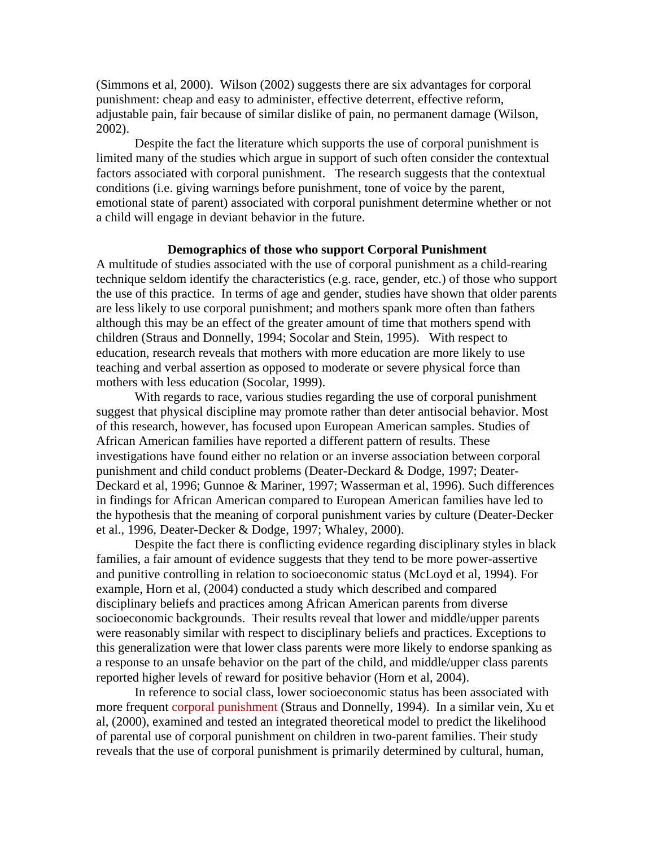(Simmons et al, 2000). Wilson (2002) suggests there are six advantages for corporal punishment: cheap and easy to administer, effective deterrent, effective reform, adjustable pain, fair because of similar dislike of pain, no permanent damage (Wilson, 2002).

 Despite the fact the literature which supports the use of corporal punishment is limited many of the studies which argue in support of such often consider the contextual factors associated with corporal punishment. The research suggests that the contextual conditions (i.e. giving warnings before punishment, tone of voice by the parent, emotional state of parent) associated with corporal punishment determine whether or not a child will engage in deviant behavior in the future.

# **Demographics of those who support Corporal Punishment**

A multitude of studies associated with the use of corporal punishment as a child-rearing technique seldom identify the characteristics (e.g. race, gender, etc.) of those who support the use of this practice. In terms of age and gender, studies have shown that older parents are less likely to use corporal punishment; and mothers spank more often than fathers although this may be an effect of the greater amount of time that mothers spend with children (Straus and Donnelly, 1994; Socolar and Stein, 1995). With respect to education, research reveals that mothers with more education are more likely to use teaching and verbal assertion as opposed to moderate or severe physical force than mothers with less education (Socolar, 1999).

With regards to race, various studies regarding the use of corporal punishment suggest that physical discipline may promote rather than deter antisocial behavior. Most of this research, however, has focused upon European American samples. Studies of African American families have reported a different pattern of results. These investigations have found either no relation or an inverse association between corporal punishment and child conduct problems (Deater-Deckard & Dodge, 1997; Deater-Deckard et al, 1996; Gunnoe & Mariner, 1997; Wasserman et al, 1996). Such differences in findings for African American compared to European American families have led to the hypothesis that the meaning of corporal punishment varies by culture (Deater-Decker et al., 1996, Deater-Decker & Dodge, 1997; Whaley, 2000).

Despite the fact there is conflicting evidence regarding disciplinary styles in black families, a fair amount of evidence suggests that they tend to be more power-assertive and punitive controlling in relation to socioeconomic status (McLoyd et al, 1994). For example, Horn et al, (2004) conducted a study which described and compared disciplinary beliefs and practices among African American parents from diverse socioeconomic backgrounds. Their results reveal that lower and middle/upper parents were reasonably similar with respect to disciplinary beliefs and practices. Exceptions to this generalization were that lower class parents were more likely to endorse spanking as a response to an unsafe behavior on the part of the child, and middle/upper class parents reported higher levels of reward for positive behavior (Horn et al, 2004).

 In reference to social class, lower socioeconomic status has been associated with more frequent corporal punishment (Straus and Donnelly, 1994). In a similar vein, Xu et al, (2000), examined and tested an integrated theoretical model to predict the likelihood of parental use of corporal punishment on children in two-parent families. Their study reveals that the use of corporal punishment is primarily determined by cultural, human,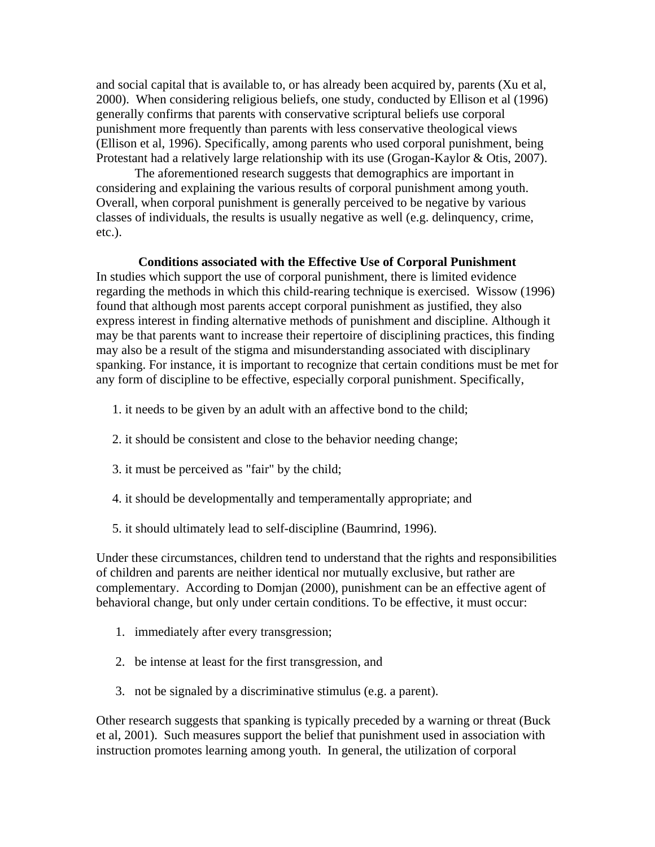and social capital that is available to, or has already been acquired by, parents (Xu et al, 2000). When considering religious beliefs, one study, conducted by Ellison et al (1996) generally confirms that parents with conservative scriptural beliefs use corporal punishment more frequently than parents with less conservative theological views (Ellison et al, 1996). Specifically, among parents who used corporal punishment, being Protestant had a relatively large relationship with its use (Grogan-Kaylor & Otis, 2007).

The aforementioned research suggests that demographics are important in considering and explaining the various results of corporal punishment among youth. Overall, when corporal punishment is generally perceived to be negative by various classes of individuals, the results is usually negative as well (e.g. delinquency, crime, etc.).

# **Conditions associated with the Effective Use of Corporal Punishment**

In studies which support the use of corporal punishment, there is limited evidence regarding the methods in which this child-rearing technique is exercised. Wissow (1996) found that although most parents accept corporal punishment as justified, they also express interest in finding alternative methods of punishment and discipline. Although it may be that parents want to increase their repertoire of disciplining practices, this finding may also be a result of the stigma and misunderstanding associated with disciplinary spanking. For instance, it is important to recognize that certain conditions must be met for any form of discipline to be effective, especially corporal punishment. Specifically,

- 1. it needs to be given by an adult with an affective bond to the child;
- 2. it should be consistent and close to the behavior needing change;
- 3. it must be perceived as "fair" by the child;
- 4. it should be developmentally and temperamentally appropriate; and
- 5. it should ultimately lead to self-discipline (Baumrind, 1996).

Under these circumstances, children tend to understand that the rights and responsibilities of children and parents are neither identical nor mutually exclusive, but rather are complementary. According to Domjan (2000), punishment can be an effective agent of behavioral change, but only under certain conditions. To be effective, it must occur:

- 1. immediately after every transgression;
- 2. be intense at least for the first transgression, and
- 3. not be signaled by a discriminative stimulus (e.g. a parent).

Other research suggests that spanking is typically preceded by a warning or threat (Buck et al, 2001). Such measures support the belief that punishment used in association with instruction promotes learning among youth. In general, the utilization of corporal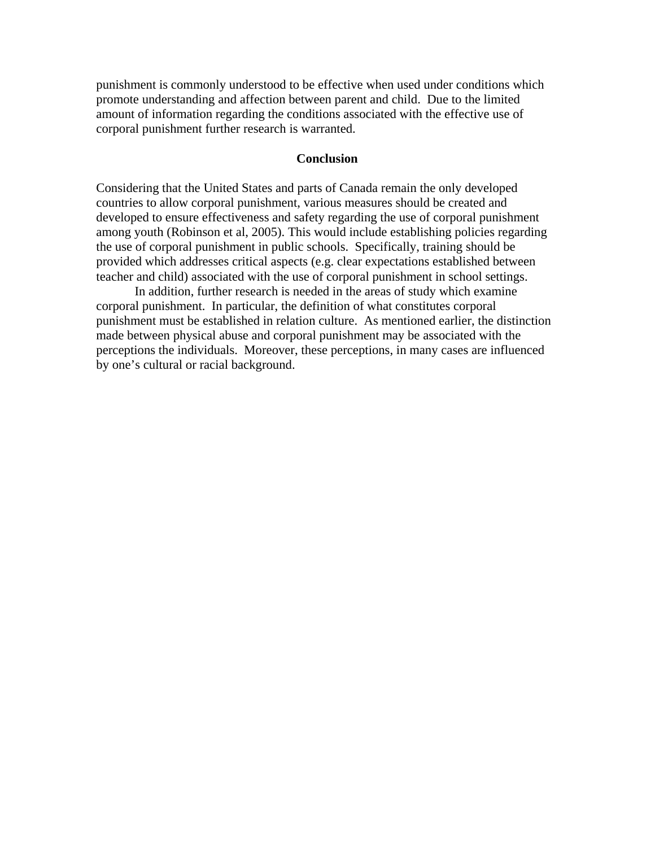punishment is commonly understood to be effective when used under conditions which promote understanding and affection between parent and child. Due to the limited amount of information regarding the conditions associated with the effective use of corporal punishment further research is warranted.

# **Conclusion**

Considering that the United States and parts of Canada remain the only developed countries to allow corporal punishment, various measures should be created and developed to ensure effectiveness and safety regarding the use of corporal punishment among youth (Robinson et al, 2005). This would include establishing policies regarding the use of corporal punishment in public schools. Specifically, training should be provided which addresses critical aspects (e.g. clear expectations established between teacher and child) associated with the use of corporal punishment in school settings.

 In addition, further research is needed in the areas of study which examine corporal punishment. In particular, the definition of what constitutes corporal punishment must be established in relation culture. As mentioned earlier, the distinction made between physical abuse and corporal punishment may be associated with the perceptions the individuals. Moreover, these perceptions, in many cases are influenced by one's cultural or racial background.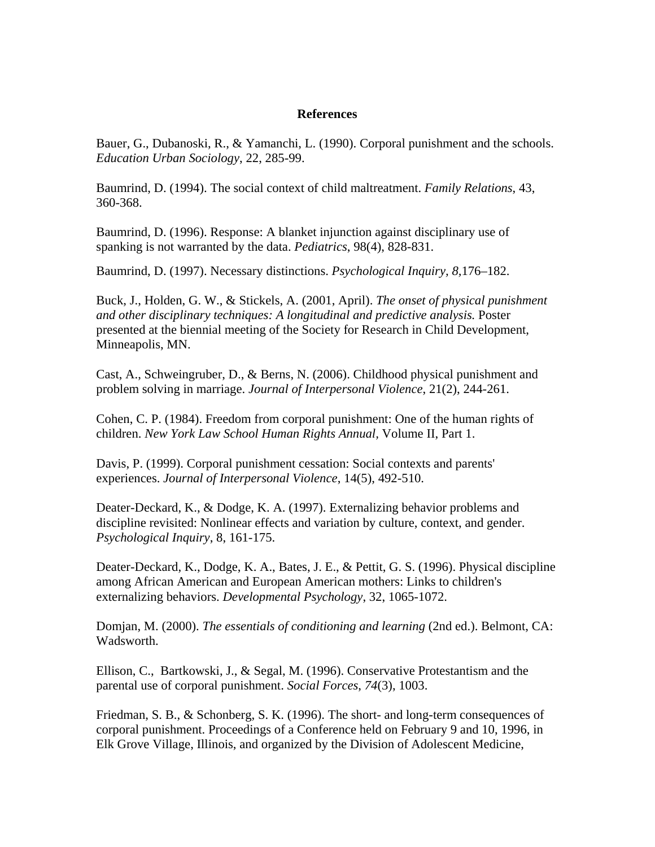# **References**

Bauer, G., Dubanoski, R., & Yamanchi, L. (1990). Corporal punishment and the schools. *Education Urban Sociology*, 22, 285-99.

Baumrind, D. (1994). The social context of child maltreatment. *Family Relations*, 43, 360-368.

Baumrind, D. (1996). Response: A blanket injunction against disciplinary use of spanking is not warranted by the data. *Pediatrics*, 98(4), 828-831.

Baumrind, D. (1997). Necessary distinctions. *Psychological Inquiry, 8,*176–182.

Buck, J., Holden, G. W., & Stickels, A. (2001, April). *The onset of physical punishment and other disciplinary techniques: A longitudinal and predictive analysis.* Poster presented at the biennial meeting of the Society for Research in Child Development, Minneapolis, MN.

Cast, A., Schweingruber, D., & Berns, N. (2006). Childhood physical punishment and problem solving in marriage. *Journal of Interpersonal Violence*, 21(2), 244-261.

Cohen, C. P. (1984). Freedom from corporal punishment: One of the human rights of children. *New York Law School Human Rights Annual,* Volume II, Part 1.

Davis, P. (1999). Corporal punishment cessation: Social contexts and parents' experiences. *Journal of Interpersonal Violence*, 14(5), 492-510.

Deater-Deckard, K., & Dodge, K. A. (1997). Externalizing behavior problems and discipline revisited: Nonlinear effects and variation by culture, context, and gender. *Psychological Inquiry*, 8, 161-175.

Deater-Deckard, K., Dodge, K. A., Bates, J. E., & Pettit, G. S. (1996). Physical discipline among African American and European American mothers: Links to children's externalizing behaviors. *Developmental Psychology*, 32, 1065-1072.

Domjan, M. (2000). *The essentials of conditioning and learning* (2nd ed.). Belmont, CA: Wadsworth.

Ellison, C., Bartkowski, J., & Segal, M. (1996). Conservative Protestantism and the parental use of corporal punishment. *Social Forces*, *74*(3), 1003.

Friedman, S. B., & Schonberg, S. K. (1996). The short- and long-term consequences of corporal punishment. Proceedings of a Conference held on February 9 and 10, 1996, in Elk Grove Village, Illinois, and organized by the Division of Adolescent Medicine,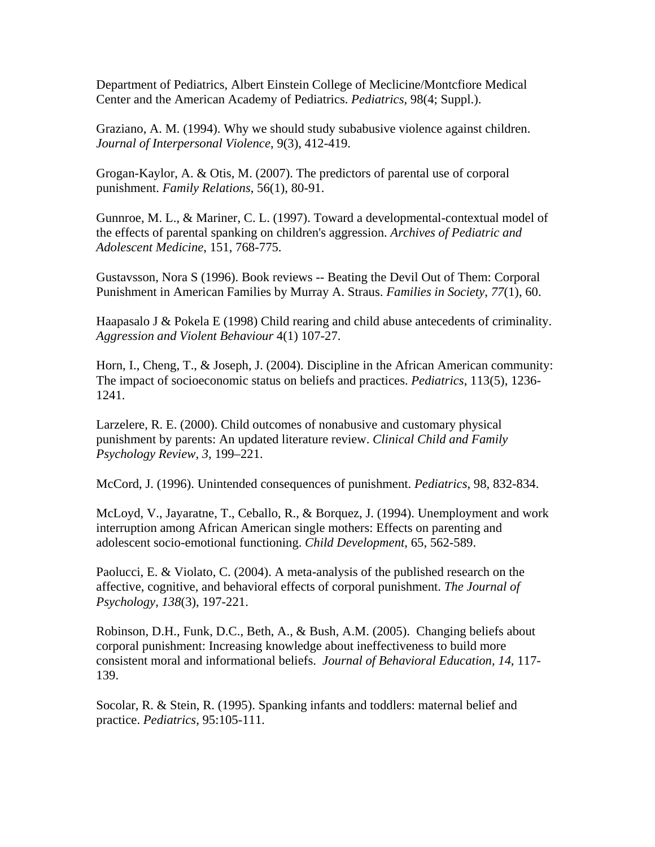Department of Pediatrics, Albert Einstein College of Meclicine/Montcfiore Medical Center and the American Academy of Pediatrics. *Pediatrics*, 98(4; Suppl.).

Graziano, A. M. (1994). Why we should study subabusive violence against children. *Journal of Interpersonal Violence*, 9(3), 412-419.

Grogan-Kaylor, A. & Otis, M. (2007). The predictors of parental use of corporal punishment. *Family Relations*, 56(1), 80-91.

Gunnroe, M. L., & Mariner, C. L. (1997). Toward a developmental-contextual model of the effects of parental spanking on children's aggression. *Archives of Pediatric and Adolescent Medicine*, 151, 768-775.

Gustavsson, Nora S (1996). Book reviews -- Beating the Devil Out of Them: Corporal Punishment in American Families by Murray A. Straus. *Families in Society*, *77*(1), 60.

Haapasalo J & Pokela E (1998) Child rearing and child abuse antecedents of criminality. *Aggression and Violent Behaviour* 4(1) 107-27.

Horn, I., Cheng, T., & Joseph, J. (2004). Discipline in the African American community: The impact of socioeconomic status on beliefs and practices. *Pediatrics*, 113(5), 1236- 1241.

Larzelere, R. E. (2000). Child outcomes of nonabusive and customary physical punishment by parents: An updated literature review. *Clinical Child and Family Psychology Review, 3,* 199–221.

McCord, J. (1996). Unintended consequences of punishment. *Pediatrics*, 98, 832-834.

McLoyd, V., Jayaratne, T., Ceballo, R., & Borquez, J. (1994). Unemployment and work interruption among African American single mothers: Effects on parenting and adolescent socio-emotional functioning. *Child Development*, 65, 562-589.

Paolucci, E. & Violato, C. (2004). A meta-analysis of the published research on the affective, cognitive, and behavioral effects of corporal punishment. *The Journal of Psychology*, *138*(3), 197-221.

Robinson, D.H., Funk, D.C., Beth, A., & Bush, A.M. (2005). Changing beliefs about corporal punishment: Increasing knowledge about ineffectiveness to build more consistent moral and informational beliefs. *Journal of Behavioral Education, 14*, 117- 139.

Socolar, R. & Stein, R. (1995). Spanking infants and toddlers: maternal belief and practice. *Pediatrics*, 95:105-111.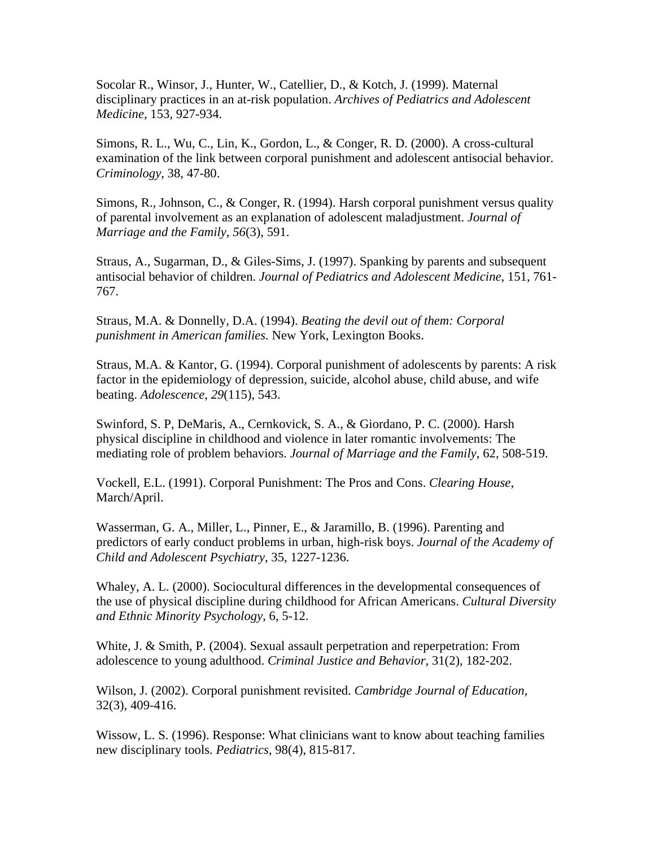Socolar R., Winsor, J., Hunter, W., Catellier, D., & Kotch, J. (1999). Maternal disciplinary practices in an at-risk population. *Archives of Pediatrics and Adolescent Medicine*, 153, 927-934.

Simons, R. L., Wu, C., Lin, K., Gordon, L., & Conger, R. D. (2000). A cross-cultural examination of the link between corporal punishment and adolescent antisocial behavior. *Criminology*, 38, 47-80.

Simons, R., Johnson, C., & Conger, R. (1994). Harsh corporal punishment versus quality of parental involvement as an explanation of adolescent maladjustment. *Journal of Marriage and the Family*, *56*(3), 591.

Straus, A., Sugarman, D., & Giles-Sims, J. (1997). Spanking by parents and subsequent antisocial behavior of children. *Journal of Pediatrics and Adolescent Medicine*, 151, 761- 767.

Straus, M.A. & Donnelly, D.A. (1994). *Beating the devil out of them: Corporal punishment in American families.* New York, Lexington Books.

Straus, M.A. & Kantor, G. (1994). Corporal punishment of adolescents by parents: A risk factor in the epidemiology of depression, suicide, alcohol abuse, child abuse, and wife beating. *Adolescence*, *29*(115), 543.

Swinford, S. P, DeMaris, A., Cernkovick, S. A., & Giordano, P. C. (2000). Harsh physical discipline in childhood and violence in later romantic involvements: The mediating role of problem behaviors. *Journal of Marriage and the Family*, 62, 508-519.

Vockell, E.L. (1991). Corporal Punishment: The Pros and Cons. *Clearing House*, March/April.

Wasserman, G. A., Miller, L., Pinner, E., & Jaramillo, B. (1996). Parenting and predictors of early conduct problems in urban, high-risk boys. *Journal of the Academy of Child and Adolescent Psychiatry*, 35, 1227-1236.

Whaley, A. L. (2000). Sociocultural differences in the developmental consequences of the use of physical discipline during childhood for African Americans. *Cultural Diversity and Ethnic Minority Psychology*, 6, 5-12.

White, J. & Smith, P. (2004). Sexual assault perpetration and reperpetration: From adolescence to young adulthood. *Criminal Justice and Behavior*, 31(2), 182-202.

Wilson, J. (2002). Corporal punishment revisited. *Cambridge Journal of Education*, 32(3), 409-416.

Wissow, L. S. (1996). Response: What clinicians want to know about teaching families new disciplinary tools. *Pediatrics*, 98(4), 815-817.